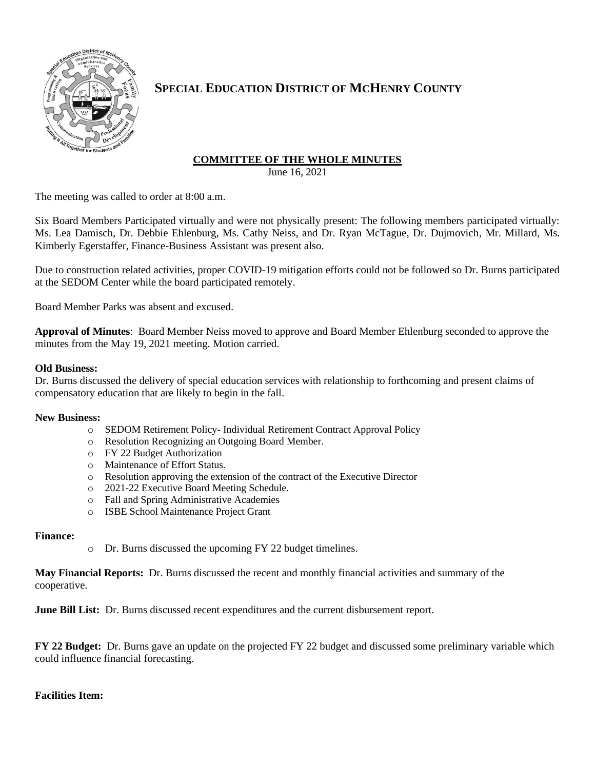

# **SPECIAL EDUCATION DISTRICT OF MCHENRY COUNTY**

## **COMMITTEE OF THE WHOLE MINUTES**

June 16, 2021

The meeting was called to order at 8:00 a.m.

Six Board Members Participated virtually and were not physically present: The following members participated virtually: Ms. Lea Damisch, Dr. Debbie Ehlenburg, Ms. Cathy Neiss, and Dr. Ryan McTague, Dr. Dujmovich, Mr. Millard, Ms. Kimberly Egerstaffer, Finance-Business Assistant was present also.

Due to construction related activities, proper COVID-19 mitigation efforts could not be followed so Dr. Burns participated at the SEDOM Center while the board participated remotely.

Board Member Parks was absent and excused.

**Approval of Minutes**: Board Member Neiss moved to approve and Board Member Ehlenburg seconded to approve the minutes from the May 19, 2021 meeting. Motion carried.

### **Old Business:**

Dr. Burns discussed the delivery of special education services with relationship to forthcoming and present claims of compensatory education that are likely to begin in the fall.

#### **New Business:**

- o SEDOM Retirement Policy- Individual Retirement Contract Approval Policy
- o Resolution Recognizing an Outgoing Board Member.
- o FY 22 Budget Authorization
- o Maintenance of Effort Status.
- o Resolution approving the extension of the contract of the Executive Director
- o 2021-22 Executive Board Meeting Schedule.
- o Fall and Spring Administrative Academies
- o ISBE School Maintenance Project Grant

#### **Finance:**

o Dr. Burns discussed the upcoming FY 22 budget timelines.

**May Financial Reports:** Dr. Burns discussed the recent and monthly financial activities and summary of the cooperative.

**June Bill List:** Dr. Burns discussed recent expenditures and the current disbursement report.

**FY 22 Budget:** Dr. Burns gave an update on the projected FY 22 budget and discussed some preliminary variable which could influence financial forecasting.

#### **Facilities Item:**